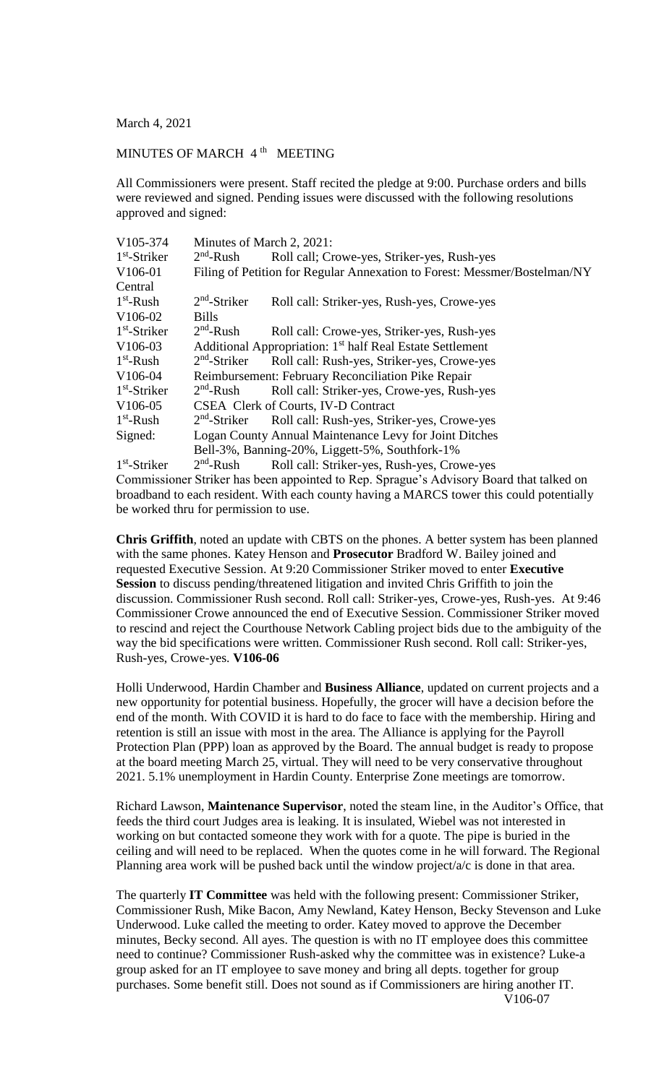March 4, 2021

## MINUTES OF MARCH 4<sup>th</sup> MEETING

All Commissioners were present. Staff recited the pledge at 9:00. Purchase orders and bills were reviewed and signed. Pending issues were discussed with the following resolutions approved and signed:

| V105-374             | Minutes of March 2, 2021:                                                 |                                             |
|----------------------|---------------------------------------------------------------------------|---------------------------------------------|
| $1st$ -Striker       | $2nd$ -Rush                                                               | Roll call; Crowe-yes, Striker-yes, Rush-yes |
| V106-01              | Filing of Petition for Regular Annexation to Forest: Messmer/Bostelman/NY |                                             |
| Central              |                                                                           |                                             |
| $1st$ -Rush          | $2nd$ -Striker                                                            | Roll call: Striker-yes, Rush-yes, Crowe-yes |
| V106-02              | <b>Bills</b>                                                              |                                             |
| $1st$ -Striker       | $2nd$ -Rush                                                               | Roll call: Crowe-yes, Striker-yes, Rush-yes |
| V106-03              | Additional Appropriation: 1 <sup>st</sup> half Real Estate Settlement     |                                             |
| $1st$ -Rush          | $2nd$ -Striker                                                            | Roll call: Rush-yes, Striker-yes, Crowe-yes |
| V106-04              | Reimbursement: February Reconciliation Pike Repair                        |                                             |
| $1st$ -Striker       | $2nd$ -Rush                                                               | Roll call: Striker-yes, Crowe-yes, Rush-yes |
| V <sub>106</sub> -05 | CSEA Clerk of Courts, IV-D Contract                                       |                                             |
| $1st$ -Rush          | $2nd$ -Striker                                                            | Roll call: Rush-yes, Striker-yes, Crowe-yes |
| Signed:              | Logan County Annual Maintenance Levy for Joint Ditches                    |                                             |
|                      | Bell-3%, Banning-20%, Liggett-5%, Southfork-1%                            |                                             |
| مناسب المصاري        |                                                                           |                                             |

1 st -Striker 2  $2<sup>nd</sup>$ -Rush Roll call: Striker-yes, Rush-yes, Crowe-yes Commissioner Striker has been appointed to Rep. Sprague's Advisory Board that talked on broadband to each resident. With each county having a MARCS tower this could potentially be worked thru for permission to use.

**Chris Griffith**, noted an update with CBTS on the phones. A better system has been planned with the same phones. Katey Henson and **Prosecutor** Bradford W. Bailey joined and requested Executive Session. At 9:20 Commissioner Striker moved to enter **Executive Session** to discuss pending/threatened litigation and invited Chris Griffith to join the discussion. Commissioner Rush second. Roll call: Striker-yes, Crowe-yes, Rush-yes. At 9:46 Commissioner Crowe announced the end of Executive Session. Commissioner Striker moved to rescind and reject the Courthouse Network Cabling project bids due to the ambiguity of the way the bid specifications were written. Commissioner Rush second. Roll call: Striker-yes, Rush-yes, Crowe-yes. **V106-06**

Holli Underwood, Hardin Chamber and **Business Alliance**, updated on current projects and a new opportunity for potential business. Hopefully, the grocer will have a decision before the end of the month. With COVID it is hard to do face to face with the membership. Hiring and retention is still an issue with most in the area. The Alliance is applying for the Payroll Protection Plan (PPP) loan as approved by the Board. The annual budget is ready to propose at the board meeting March 25, virtual. They will need to be very conservative throughout 2021. 5.1% unemployment in Hardin County. Enterprise Zone meetings are tomorrow.

Richard Lawson, **Maintenance Supervisor**, noted the steam line, in the Auditor's Office, that feeds the third court Judges area is leaking. It is insulated, Wiebel was not interested in working on but contacted someone they work with for a quote. The pipe is buried in the ceiling and will need to be replaced. When the quotes come in he will forward. The Regional Planning area work will be pushed back until the window project/a/c is done in that area.

The quarterly **IT Committee** was held with the following present: Commissioner Striker, Commissioner Rush, Mike Bacon, Amy Newland, Katey Henson, Becky Stevenson and Luke Underwood. Luke called the meeting to order. Katey moved to approve the December minutes, Becky second. All ayes. The question is with no IT employee does this committee need to continue? Commissioner Rush-asked why the committee was in existence? Luke-a group asked for an IT employee to save money and bring all depts. together for group purchases. Some benefit still. Does not sound as if Commissioners are hiring another IT. V106-07